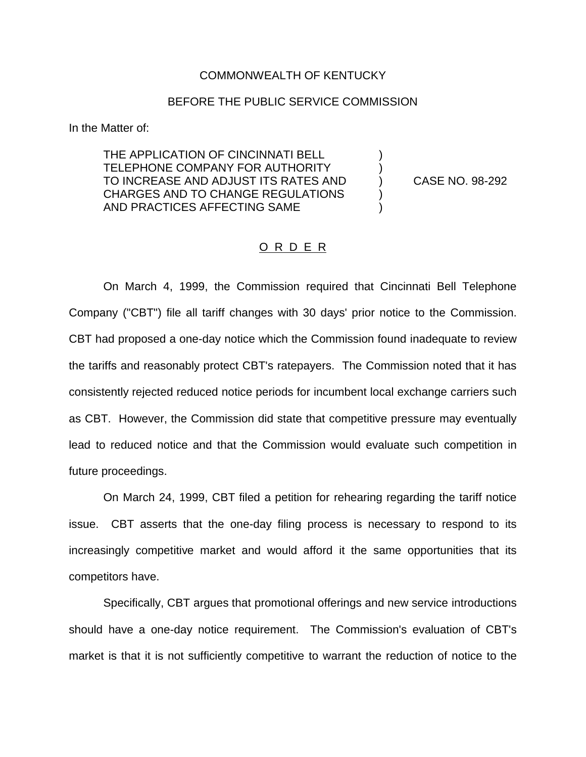## COMMONWEALTH OF KENTUCKY

## BEFORE THE PUBLIC SERVICE COMMISSION

In the Matter of:

THE APPLICATION OF CINCINNATI BELL TELEPHONE COMPANY FOR AUTHORITY TO INCREASE AND ADJUST ITS RATES AND ) CASE NO. 98-292 CHARGES AND TO CHANGE REGULATIONS  $\qquad$  ) AND PRACTICES AFFECTING SAME )

## O R D E R

On March 4, 1999, the Commission required that Cincinnati Bell Telephone Company ("CBT") file all tariff changes with 30 days' prior notice to the Commission. CBT had proposed a one-day notice which the Commission found inadequate to review the tariffs and reasonably protect CBT's ratepayers. The Commission noted that it has consistently rejected reduced notice periods for incumbent local exchange carriers such as CBT. However, the Commission did state that competitive pressure may eventually lead to reduced notice and that the Commission would evaluate such competition in future proceedings.

On March 24, 1999, CBT filed a petition for rehearing regarding the tariff notice issue. CBT asserts that the one-day filing process is necessary to respond to its increasingly competitive market and would afford it the same opportunities that its competitors have.

Specifically, CBT argues that promotional offerings and new service introductions should have a one-day notice requirement. The Commission's evaluation of CBT's market is that it is not sufficiently competitive to warrant the reduction of notice to the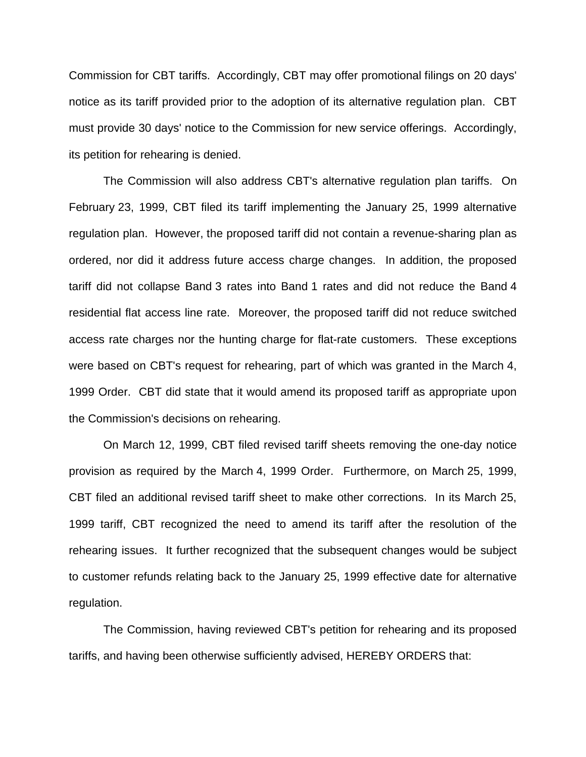Commission for CBT tariffs. Accordingly, CBT may offer promotional filings on 20 days' notice as its tariff provided prior to the adoption of its alternative regulation plan. CBT must provide 30 days' notice to the Commission for new service offerings. Accordingly, its petition for rehearing is denied.

The Commission will also address CBT's alternative regulation plan tariffs. On February 23, 1999, CBT filed its tariff implementing the January 25, 1999 alternative regulation plan. However, the proposed tariff did not contain a revenue-sharing plan as ordered, nor did it address future access charge changes. In addition, the proposed tariff did not collapse Band 3 rates into Band 1 rates and did not reduce the Band 4 residential flat access line rate. Moreover, the proposed tariff did not reduce switched access rate charges nor the hunting charge for flat-rate customers. These exceptions were based on CBT's request for rehearing, part of which was granted in the March 4, 1999 Order. CBT did state that it would amend its proposed tariff as appropriate upon the Commission's decisions on rehearing.

On March 12, 1999, CBT filed revised tariff sheets removing the one-day notice provision as required by the March 4, 1999 Order. Furthermore, on March 25, 1999, CBT filed an additional revised tariff sheet to make other corrections. In its March 25, 1999 tariff, CBT recognized the need to amend its tariff after the resolution of the rehearing issues. It further recognized that the subsequent changes would be subject to customer refunds relating back to the January 25, 1999 effective date for alternative regulation.

The Commission, having reviewed CBT's petition for rehearing and its proposed tariffs, and having been otherwise sufficiently advised, HEREBY ORDERS that: